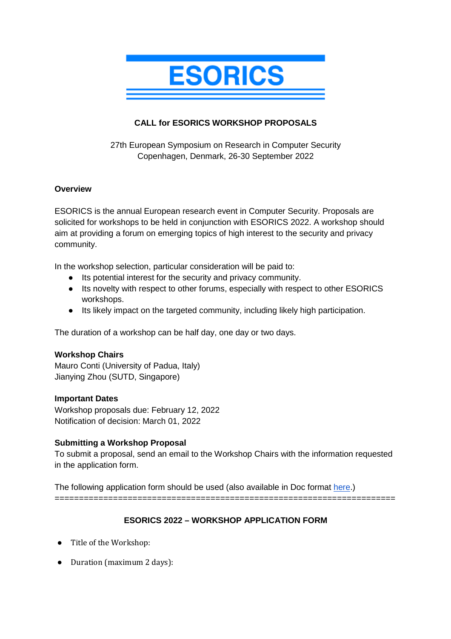

# **CALL for ESORICS WORKSHOP PROPOSALS**

27th European Symposium on Research in Computer Security Copenhagen, Denmark, 26-30 September 2022

### **Overview**

ESORICS is the annual European research event in Computer Security. Proposals are solicited for workshops to be held in conjunction with ESORICS 2022. A workshop should aim at providing a forum on emerging topics of high interest to the security and privacy community.

In the workshop selection, particular consideration will be paid to:

- Its potential interest for the security and privacy community.
- Its novelty with respect to other forums, especially with respect to other ESORICS workshops.
- Its likely impact on the targeted community, including likely high participation.

The duration of a workshop can be half day, one day or two days.

#### **Workshop Chairs**

Mauro Conti (University of Padua, Italy) Jianying Zhou (SUTD, Singapore)

#### **Important Dates**

Workshop proposals due: February 12, 2022 Notification of decision: March 01, 2022

#### **Submitting a Workshop Proposal**

To submit a proposal, send an email to the Workshop Chairs with the information requested in the application form.

The following application form should be used (also available in Doc format here.) ======================================================================

## **ESORICS 2022 – WORKSHOP APPLICATION FORM**

- Title of the Workshop:
- Duration (maximum 2 days):